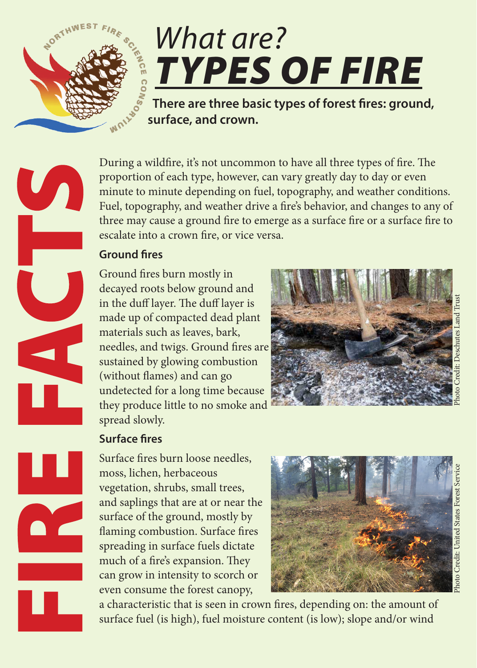

 $\mathbf{U}_{\mathbf{A}}$ 

# *What are? TYPES OF FIRE*

 **There are three basic types of forest fires: ground, surface, and crown.**

During a wildfire, it's not uncommon to have all three types of fire. The proportion of each type, however, can vary greatly day to day or even minute to minute depending on fuel, topography, and weather conditions. Fuel, topography, and weather drive a fire's behavior, and changes to any of three may cause a ground fire to emerge as a surface fire or a surface fire to escalate into a crown fire, or vice versa.

## **Ground fires**

Ground fires burn mostly in decayed roots below ground and in the duff layer. The duff layer is made up of compacted dead plant materials such as leaves, bark, needles, and twigs. Ground fires are sustained by glowing combustion (without flames) and can go undetected for a long time because they produce little to no smoke and spread slowly.



# Photo Credit: United States Forest Service Photo Credit: Deschutes Land Trust

# **Surface fires**

Surface fires burn loose needles, moss, lichen, herbaceous vegetation, shrubs, small trees, and saplings that are at or near the surface of the ground, mostly by flaming combustion. Surface fires spreading in surface fuels dictate much of a fire's expansion. They can grow in intensity to scorch or even consume the forest canopy,



a characteristic that is seen in crown fires, depending on: the amount of surface fuel (is high), fuel moisture content (is low); slope and/or wind